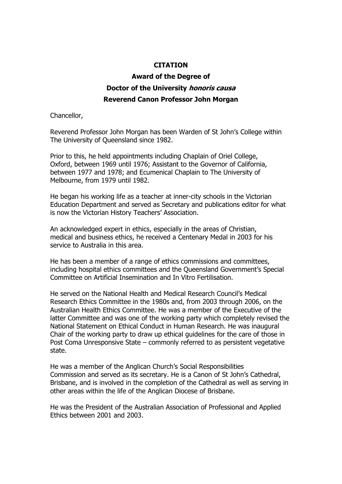## **CITATION**

## **Award of the Degree of Doctor of the University honoris causa Reverend Canon Professor John Morgan**

Chancellor,

Reverend Professor John Morgan has been Warden of St John's College within The University of Queensland since 1982.

Prior to this, he held appointments including Chaplain of Oriel College, Oxford, between 1969 until 1976; Assistant to the Governor of California, between 1977 and 1978; and Ecumenical Chaplain to The University of Melbourne, from 1979 until 1982.

He began his working life as a teacher at inner-city schools in the Victorian Education Department and served as Secretary and publications editor for what is now the Victorian History Teachers' Association.

An acknowledged expert in ethics, especially in the areas of Christian, medical and business ethics, he received a Centenary Medal in 2003 for his service to Australia in this area.

He has been a member of a range of ethics commissions and committees, including hospital ethics committees and the Queensland Government's Special Committee on Artificial Insemination and In Vitro Fertilisation.

He served on the National Health and Medical Research Council's Medical Research Ethics Committee in the 1980s and, from 2003 through 2006, on the Australian Health Ethics Committee. He was a member of the Executive of the latter Committee and was one of the working party which completely revised the National Statement on Ethical Conduct in Human Research. He was inaugural Chair of the working party to draw up ethical guidelines for the care of those in Post Coma Unresponsive State – commonly referred to as persistent vegetative state.

He was a member of the Anglican Church's Social Responsibilities Commission and served as its secretary. He is a Canon of St John's Cathedral, Brisbane, and is involved in the completion of the Cathedral as well as serving in other areas within the life of the Anglican Diocese of Brisbane.

He was the President of the Australian Association of Professional and Applied Ethics between 2001 and 2003.